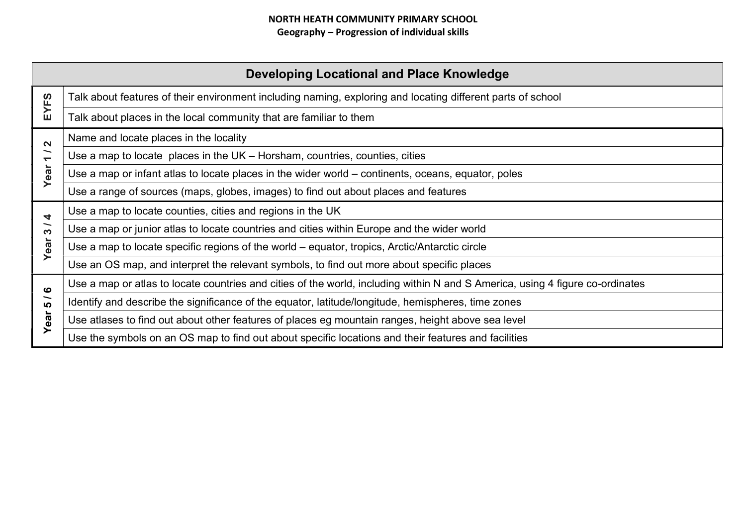| Developing Locational and Place Knowledge         |                                                                                                                               |  |
|---------------------------------------------------|-------------------------------------------------------------------------------------------------------------------------------|--|
| EYFS                                              | Talk about features of their environment including naming, exploring and locating different parts of school                   |  |
|                                                   | Talk about places in the local community that are familiar to them                                                            |  |
| $\mathbf{\Omega}$                                 | Name and locate places in the locality                                                                                        |  |
| ∽<br>$\overline{\phantom{0}}$                     | Use a map to locate places in the $UK - Horsham$ , countries, counties, cities                                                |  |
| Year                                              | Use a map or infant atlas to locate places in the wider world – continents, oceans, equator, poles                            |  |
|                                                   | Use a range of sources (maps, globes, images) to find out about places and features                                           |  |
| 4                                                 | Use a map to locate counties, cities and regions in the UK                                                                    |  |
| $\overline{\phantom{0}}$<br>$\boldsymbol{\infty}$ | Use a map or junior atlas to locate countries and cities within Europe and the wider world                                    |  |
| Year                                              | Use a map to locate specific regions of the world – equator, tropics, Arctic/Antarctic circle                                 |  |
|                                                   | Use an OS map, and interpret the relevant symbols, to find out more about specific places                                     |  |
| ဖ                                                 | Use a map or atlas to locate countries and cities of the world, including within N and S America, using 4 figure co-ordinates |  |
| ∽<br><b>LO</b>                                    | Identify and describe the significance of the equator, latitude/longitude, hemispheres, time zones                            |  |
| Year                                              | Use atlases to find out about other features of places eg mountain ranges, height above sea level                             |  |
|                                                   | Use the symbols on an OS map to find out about specific locations and their features and facilities                           |  |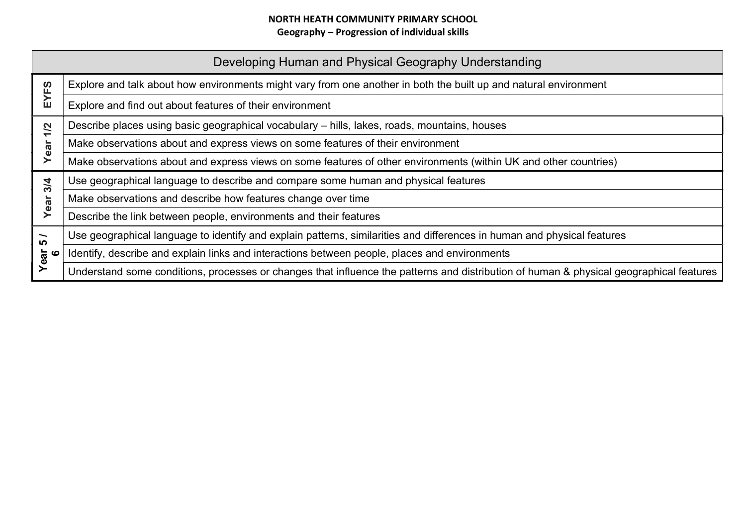|                                                    | Developing Human and Physical Geography Understanding                                                                                   |
|----------------------------------------------------|-----------------------------------------------------------------------------------------------------------------------------------------|
| EYFS                                               | Explore and talk about how environments might vary from one another in both the built up and natural environment                        |
|                                                    | Explore and find out about features of their environment                                                                                |
| <u>ମ</u><br>$\overline{\phantom{0}}$<br>ear<br>≻   | Describe places using basic geographical vocabulary - hills, lakes, roads, mountains, houses                                            |
|                                                    | Make observations about and express views on some features of their environment                                                         |
|                                                    | Make observations about and express views on some features of other environments (within UK and other countries)                        |
| 3/4<br>Year                                        | Use geographical language to describe and compare some human and physical features                                                      |
|                                                    | Make observations and describe how features change over time                                                                            |
|                                                    | Describe the link between people, environments and their features                                                                       |
| $\overline{\phantom{0}}$<br><b>LC</b><br>Year<br>6 | Use geographical language to identify and explain patterns, similarities and differences in human and physical features                 |
|                                                    | Identify, describe and explain links and interactions between people, places and environments                                           |
|                                                    | Understand some conditions, processes or changes that influence the patterns and distribution of human & physical geographical features |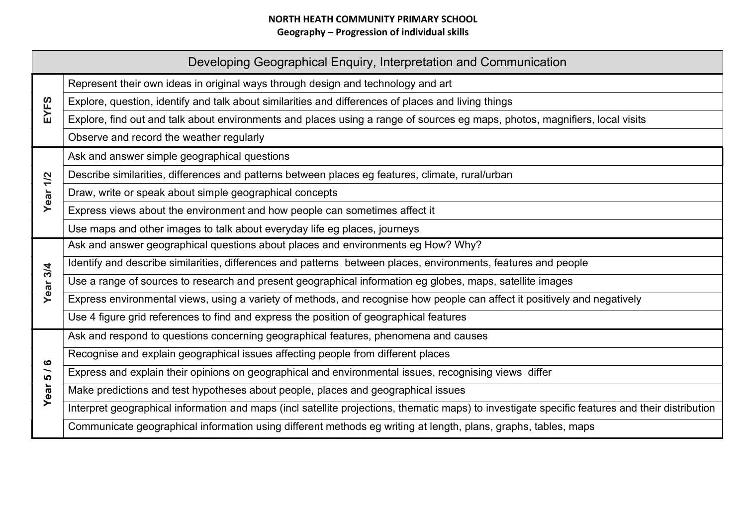| Developing Geographical Enquiry, Interpretation and Communication |                                                                                                                                                 |  |
|-------------------------------------------------------------------|-------------------------------------------------------------------------------------------------------------------------------------------------|--|
| EYFS                                                              | Represent their own ideas in original ways through design and technology and art                                                                |  |
|                                                                   | Explore, question, identify and talk about similarities and differences of places and living things                                             |  |
|                                                                   | Explore, find out and talk about environments and places using a range of sources eg maps, photos, magnifiers, local visits                     |  |
|                                                                   | Observe and record the weather regularly                                                                                                        |  |
|                                                                   | Ask and answer simple geographical questions                                                                                                    |  |
| 1/2                                                               | Describe similarities, differences and patterns between places eg features, climate, rural/urban                                                |  |
| Year                                                              | Draw, write or speak about simple geographical concepts                                                                                         |  |
|                                                                   | Express views about the environment and how people can sometimes affect it                                                                      |  |
|                                                                   | Use maps and other images to talk about everyday life eg places, journeys                                                                       |  |
|                                                                   | Ask and answer geographical questions about places and environments eg How? Why?                                                                |  |
|                                                                   | Identify and describe similarities, differences and patterns between places, environments, features and people                                  |  |
| Year <sub>3/4</sub>                                               | Use a range of sources to research and present geographical information eg globes, maps, satellite images                                       |  |
|                                                                   | Express environmental views, using a variety of methods, and recognise how people can affect it positively and negatively                       |  |
|                                                                   | Use 4 figure grid references to find and express the position of geographical features                                                          |  |
|                                                                   | Ask and respond to questions concerning geographical features, phenomena and causes                                                             |  |
| ဖ<br>$\overline{\phantom{0}}$<br>LO.<br>Year                      | Recognise and explain geographical issues affecting people from different places                                                                |  |
|                                                                   | Express and explain their opinions on geographical and environmental issues, recognising views differ                                           |  |
|                                                                   | Make predictions and test hypotheses about people, places and geographical issues                                                               |  |
|                                                                   | Interpret geographical information and maps (incl satellite projections, thematic maps) to investigate specific features and their distribution |  |
|                                                                   | Communicate geographical information using different methods eg writing at length, plans, graphs, tables, maps                                  |  |